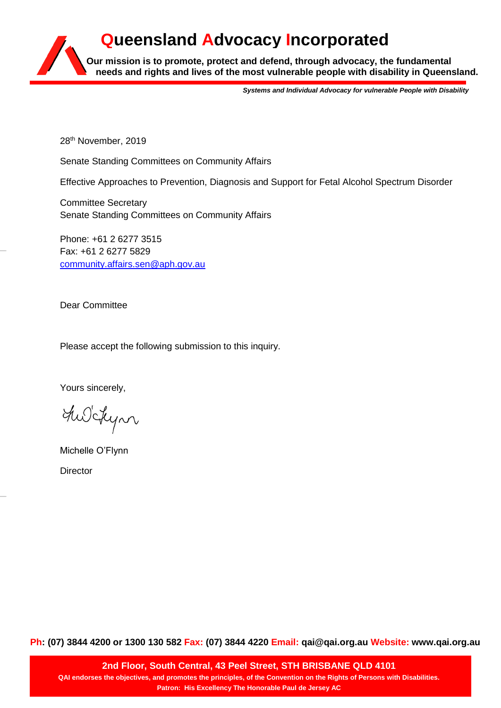**Our mission is to promote, protect and defend, through advocacy, the fundamental needs and rights and lives of the most vulnerable people with disability in Queensland. Queensland Advocacy Incorporated**

*Systems and Individual Advocacy for vulnerable People with Disability*

28<sup>th</sup> November, 2019

Senate Standing Committees on Community Affairs

Effective Approaches to Prevention, Diagnosis and Support for Fetal Alcohol Spectrum Disorder

Committee Secretary Senate Standing Committees on Community Affairs

Phone: +61 2 6277 3515 Fax: +61 2 6277 5829 [community.affairs.sen@aph.gov.au](mailto:community.affairs.sen@aph.gov.au)

Dear Committee

Please accept the following submission to this inquiry.

Yours sincerely,

The Schyn

Michelle O'Flynn

**Director** 

**Ph: (07) 3844 4200 or 1300 130 582 Fax: (07) 3844 4220 Email: qai@qai.org.au Website: www.qai.org.au**

**2nd Floor, South Central, 43 Peel Street, STH BRISBANE QLD 4101 QAI endorses the objectives, and promotes the principles, of the Convention on the Rights of Persons with Disabilities. Patron: His Excellency The Honorable Paul de Jersey AC**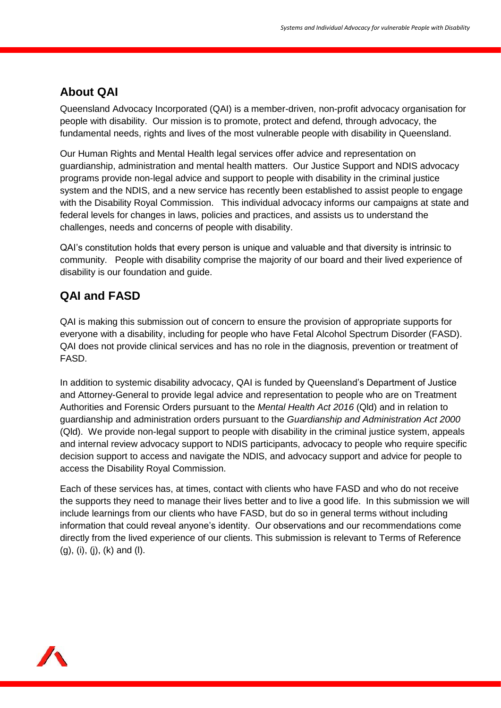## **About QAI**

Queensland Advocacy Incorporated (QAI) is a member-driven, non-profit advocacy organisation for people with disability. Our mission is to promote, protect and defend, through advocacy, the fundamental needs, rights and lives of the most vulnerable people with disability in Queensland.

Our Human Rights and Mental Health legal services offer advice and representation on guardianship, administration and mental health matters. Our Justice Support and NDIS advocacy programs provide non-legal advice and support to people with disability in the criminal justice system and the NDIS, and a new service has recently been established to assist people to engage with the Disability Royal Commission. This individual advocacy informs our campaigns at state and federal levels for changes in laws, policies and practices, and assists us to understand the challenges, needs and concerns of people with disability.

QAI's constitution holds that every person is unique and valuable and that diversity is intrinsic to community. People with disability comprise the majority of our board and their lived experience of disability is our foundation and guide.

# **QAI and FASD**

QAI is making this submission out of concern to ensure the provision of appropriate supports for everyone with a disability, including for people who have Fetal Alcohol Spectrum Disorder (FASD). QAI does not provide clinical services and has no role in the diagnosis, prevention or treatment of FASD.

In addition to systemic disability advocacy, QAI is funded by Queensland's Department of Justice and Attorney-General to provide legal advice and representation to people who are on Treatment Authorities and Forensic Orders pursuant to the *Mental Health Act 2016* (Qld) and in relation to guardianship and administration orders pursuant to the *Guardianship and Administration Act 2000* (Qld). We provide non-legal support to people with disability in the criminal justice system, appeals and internal review advocacy support to NDIS participants, advocacy to people who require specific decision support to access and navigate the NDIS, and advocacy support and advice for people to access the Disability Royal Commission.

Each of these services has, at times, contact with clients who have FASD and who do not receive the supports they need to manage their lives better and to live a good life. In this submission we will include learnings from our clients who have FASD, but do so in general terms without including information that could reveal anyone's identity. Our observations and our recommendations come directly from the lived experience of our clients. This submission is relevant to Terms of Reference (g), (i), (j), (k) and (l).

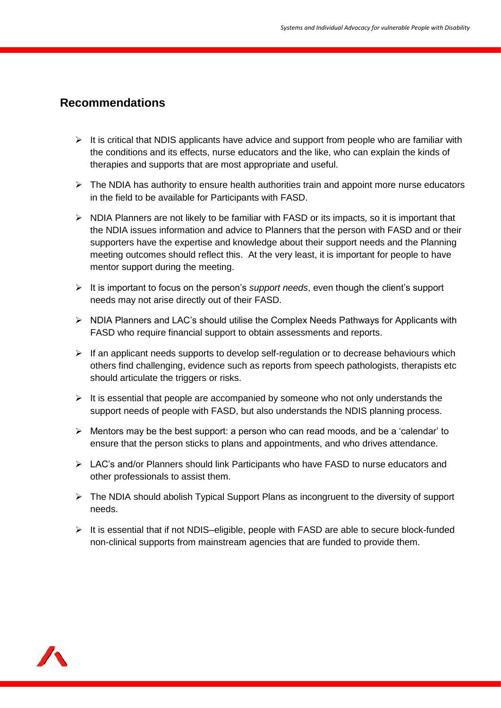#### **Recommendations**

- $\triangleright$  It is critical that NDIS applicants have advice and support from people who are familiar with the conditions and its effects, nurse educators and the like, who can explain the kinds of therapies and supports that are most appropriate and useful.
- $\triangleright$  The NDIA has authority to ensure health authorities train and appoint more nurse educators in the field to be available for Participants with FASD.
- $\triangleright$  NDIA Planners are not likely to be familiar with FASD or its impacts, so it is important that the NDIA issues information and advice to Planners that the person with FASD and or their supporters have the expertise and knowledge about their support needs and the Planning meeting outcomes should reflect this. At the very least, it is important for people to have mentor support during the meeting.
- It is important to focus on the person's *support needs*, even though the client's support needs may not arise directly out of their FASD.
- $\triangleright$  NDIA Planners and LAC's should utilise the Complex Needs Pathways for Applicants with FASD who require financial support to obtain assessments and reports.
- $\triangleright$  If an applicant needs supports to develop self-regulation or to decrease behaviours which others find challenging, evidence such as reports from speech pathologists, therapists etc should articulate the triggers or risks.
- $\triangleright$  It is essential that people are accompanied by someone who not only understands the support needs of people with FASD, but also understands the NDIS planning process.
- $\triangleright$  Mentors may be the best support: a person who can read moods, and be a 'calendar' to ensure that the person sticks to plans and appointments, and who drives attendance.
- LAC's and/or Planners should link Participants who have FASD to nurse educators and other professionals to assist them.
- $\triangleright$  The NDIA should abolish Typical Support Plans as incongruent to the diversity of support needs.
- $\triangleright$  It is essential that if not NDIS–eligible, people with FASD are able to secure block-funded non-clinical supports from mainstream agencies that are funded to provide them.

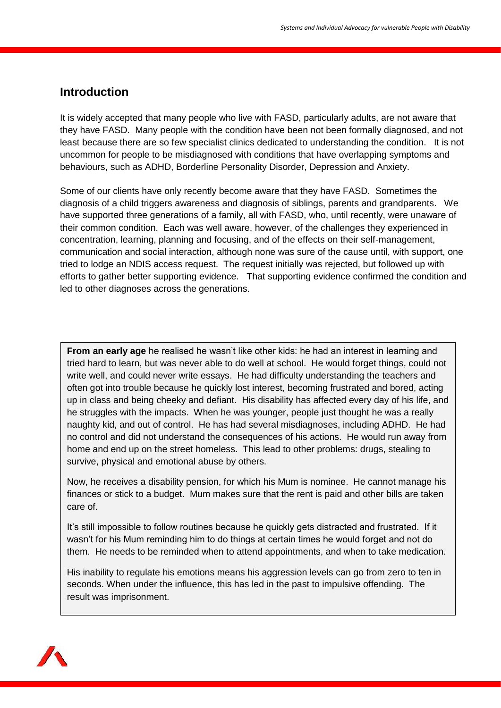#### **Introduction**

It is widely accepted that many people who live with FASD, particularly adults, are not aware that they have FASD. Many people with the condition have been not been formally diagnosed, and not least because there are so few specialist clinics dedicated to understanding the condition. It is not uncommon for people to be misdiagnosed with conditions that have overlapping symptoms and behaviours, such as ADHD, Borderline Personality Disorder, Depression and Anxiety.

Some of our clients have only recently become aware that they have FASD. Sometimes the diagnosis of a child triggers awareness and diagnosis of siblings, parents and grandparents. We have supported three generations of a family, all with FASD, who, until recently, were unaware of their common condition. Each was well aware, however, of the challenges they experienced in concentration, learning, planning and focusing, and of the effects on their self-management, communication and social interaction, although none was sure of the cause until, with support, one tried to lodge an NDIS access request. The request initially was rejected, but followed up with efforts to gather better supporting evidence. That supporting evidence confirmed the condition and led to other diagnoses across the generations.

**From an early age** he realised he wasn't like other kids: he had an interest in learning and tried hard to learn, but was never able to do well at school. He would forget things, could not write well, and could never write essays. He had difficulty understanding the teachers and often got into trouble because he quickly lost interest, becoming frustrated and bored, acting up in class and being cheeky and defiant. His disability has affected every day of his life, and he struggles with the impacts. When he was younger, people just thought he was a really naughty kid, and out of control. He has had several misdiagnoses, including ADHD. He had no control and did not understand the consequences of his actions. He would run away from home and end up on the street homeless. This lead to other problems: drugs, stealing to survive, physical and emotional abuse by others.

Now, he receives a disability pension, for which his Mum is nominee. He cannot manage his finances or stick to a budget. Mum makes sure that the rent is paid and other bills are taken care of.

It's still impossible to follow routines because he quickly gets distracted and frustrated. If it wasn't for his Mum reminding him to do things at certain times he would forget and not do them. He needs to be reminded when to attend appointments, and when to take medication.

His inability to regulate his emotions means his aggression levels can go from zero to ten in seconds. When under the influence, this has led in the past to impulsive offending. The result was imprisonment.

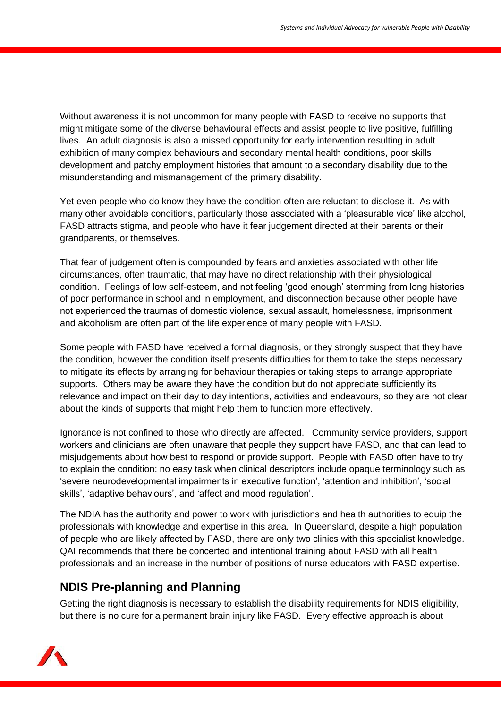Without awareness it is not uncommon for many people with FASD to receive no supports that might mitigate some of the diverse behavioural effects and assist people to live positive, fulfilling lives. An adult diagnosis is also a missed opportunity for early intervention resulting in adult exhibition of many complex behaviours and secondary mental health conditions, poor skills development and patchy employment histories that amount to a secondary disability due to the misunderstanding and mismanagement of the primary disability.

Yet even people who do know they have the condition often are reluctant to disclose it. As with many other avoidable conditions, particularly those associated with a 'pleasurable vice' like alcohol, FASD attracts stigma, and people who have it fear judgement directed at their parents or their grandparents, or themselves.

That fear of judgement often is compounded by fears and anxieties associated with other life circumstances, often traumatic, that may have no direct relationship with their physiological condition. Feelings of low self-esteem, and not feeling 'good enough' stemming from long histories of poor performance in school and in employment, and disconnection because other people have not experienced the traumas of domestic violence, sexual assault, homelessness, imprisonment and alcoholism are often part of the life experience of many people with FASD.

Some people with FASD have received a formal diagnosis, or they strongly suspect that they have the condition, however the condition itself presents difficulties for them to take the steps necessary to mitigate its effects by arranging for behaviour therapies or taking steps to arrange appropriate supports. Others may be aware they have the condition but do not appreciate sufficiently its relevance and impact on their day to day intentions, activities and endeavours, so they are not clear about the kinds of supports that might help them to function more effectively.

Ignorance is not confined to those who directly are affected. Community service providers, support workers and clinicians are often unaware that people they support have FASD, and that can lead to misjudgements about how best to respond or provide support. People with FASD often have to try to explain the condition: no easy task when clinical descriptors include opaque terminology such as 'severe neurodevelopmental impairments in executive function', 'attention and inhibition', 'social skills', 'adaptive behaviours', and 'affect and mood regulation'.

The NDIA has the authority and power to work with jurisdictions and health authorities to equip the professionals with knowledge and expertise in this area. In Queensland, despite a high population of people who are likely affected by FASD, there are only two clinics with this specialist knowledge. QAI recommends that there be concerted and intentional training about FASD with all health professionals and an increase in the number of positions of nurse educators with FASD expertise.

## **NDIS Pre-planning and Planning**

Getting the right diagnosis is necessary to establish the disability requirements for NDIS eligibility, but there is no cure for a permanent brain injury like FASD. Every effective approach is about

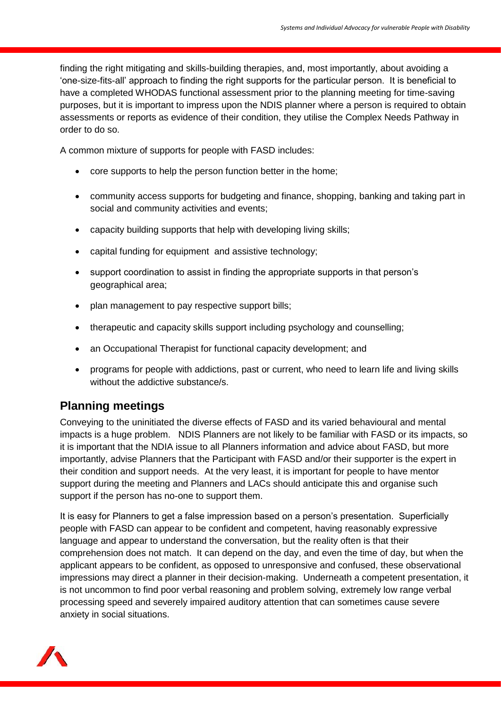finding the right mitigating and skills-building therapies, and, most importantly, about avoiding a 'one-size-fits-all' approach to finding the right supports for the particular person. It is beneficial to have a completed WHODAS functional assessment prior to the planning meeting for time-saving purposes, but it is important to impress upon the NDIS planner where a person is required to obtain assessments or reports as evidence of their condition, they utilise the Complex Needs Pathway in order to do so.

A common mixture of supports for people with FASD includes:

- core supports to help the person function better in the home;
- community access supports for budgeting and finance, shopping, banking and taking part in social and community activities and events;
- capacity building supports that help with developing living skills;
- capital funding for equipment and assistive technology;
- support coordination to assist in finding the appropriate supports in that person's geographical area;
- plan management to pay respective support bills;
- therapeutic and capacity skills support including psychology and counselling;
- an Occupational Therapist for functional capacity development; and
- programs for people with addictions, past or current, who need to learn life and living skills without the addictive substance/s.

## **Planning meetings**

Conveying to the uninitiated the diverse effects of FASD and its varied behavioural and mental impacts is a huge problem. NDIS Planners are not likely to be familiar with FASD or its impacts, so it is important that the NDIA issue to all Planners information and advice about FASD, but more importantly, advise Planners that the Participant with FASD and/or their supporter is the expert in their condition and support needs. At the very least, it is important for people to have mentor support during the meeting and Planners and LACs should anticipate this and organise such support if the person has no-one to support them.

It is easy for Planners to get a false impression based on a person's presentation. Superficially people with FASD can appear to be confident and competent, having reasonably expressive language and appear to understand the conversation, but the reality often is that their comprehension does not match. It can depend on the day, and even the time of day, but when the applicant appears to be confident, as opposed to unresponsive and confused, these observational impressions may direct a planner in their decision-making. Underneath a competent presentation, it is not uncommon to find poor verbal reasoning and problem solving, extremely low range verbal processing speed and severely impaired auditory attention that can sometimes cause severe anxiety in social situations.

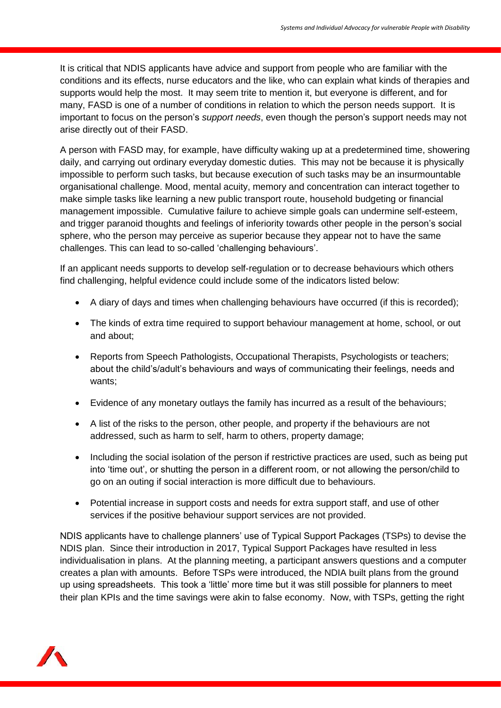It is critical that NDIS applicants have advice and support from people who are familiar with the conditions and its effects, nurse educators and the like, who can explain what kinds of therapies and supports would help the most. It may seem trite to mention it, but everyone is different, and for many, FASD is one of a number of conditions in relation to which the person needs support. It is important to focus on the person's *support needs*, even though the person's support needs may not arise directly out of their FASD.

A person with FASD may, for example, have difficulty waking up at a predetermined time, showering daily, and carrying out ordinary everyday domestic duties. This may not be because it is physically impossible to perform such tasks, but because execution of such tasks may be an insurmountable organisational challenge. Mood, mental acuity, memory and concentration can interact together to make simple tasks like learning a new public transport route, household budgeting or financial management impossible. Cumulative failure to achieve simple goals can undermine self-esteem, and trigger paranoid thoughts and feelings of inferiority towards other people in the person's social sphere, who the person may perceive as superior because they appear not to have the same challenges. This can lead to so-called 'challenging behaviours'.

If an applicant needs supports to develop self-regulation or to decrease behaviours which others find challenging, helpful evidence could include some of the indicators listed below:

- A diary of days and times when challenging behaviours have occurred (if this is recorded);
- The kinds of extra time required to support behaviour management at home, school, or out and about;
- Reports from Speech Pathologists, Occupational Therapists, Psychologists or teachers; about the child's/adult's behaviours and ways of communicating their feelings, needs and wants;
- Evidence of any monetary outlays the family has incurred as a result of the behaviours;
- A list of the risks to the person, other people, and property if the behaviours are not addressed, such as harm to self, harm to others, property damage;
- Including the social isolation of the person if restrictive practices are used, such as being put into 'time out', or shutting the person in a different room, or not allowing the person/child to go on an outing if social interaction is more difficult due to behaviours.
- Potential increase in support costs and needs for extra support staff, and use of other services if the positive behaviour support services are not provided.

NDIS applicants have to challenge planners' use of Typical Support Packages (TSPs) to devise the NDIS plan. Since their introduction in 2017, Typical Support Packages have resulted in less individualisation in plans. At the planning meeting, a participant answers questions and a computer creates a plan with amounts. Before TSPs were introduced, the NDIA built plans from the ground up using spreadsheets. This took a 'little' more time but it was still possible for planners to meet their plan KPIs and the time savings were akin to false economy. Now, with TSPs, getting the right

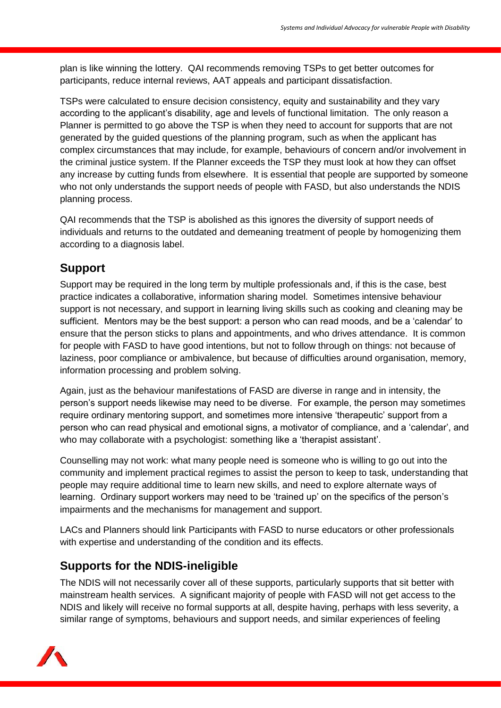plan is like winning the lottery. QAI recommends removing TSPs to get better outcomes for participants, reduce internal reviews, AAT appeals and participant dissatisfaction.

TSPs were calculated to ensure decision consistency, equity and sustainability and they vary according to the applicant's disability, age and levels of functional limitation. The only reason a Planner is permitted to go above the TSP is when they need to account for supports that are not generated by the guided questions of the planning program, such as when the applicant has complex circumstances that may include, for example, behaviours of concern and/or involvement in the criminal justice system. If the Planner exceeds the TSP they must look at how they can offset any increase by cutting funds from elsewhere. It is essential that people are supported by someone who not only understands the support needs of people with FASD, but also understands the NDIS planning process.

QAI recommends that the TSP is abolished as this ignores the diversity of support needs of individuals and returns to the outdated and demeaning treatment of people by homogenizing them according to a diagnosis label.

## **Support**

Support may be required in the long term by multiple professionals and, if this is the case, best practice indicates a collaborative, information sharing model. Sometimes intensive behaviour support is not necessary, and support in learning living skills such as cooking and cleaning may be sufficient. Mentors may be the best support: a person who can read moods, and be a 'calendar' to ensure that the person sticks to plans and appointments, and who drives attendance. It is common for people with FASD to have good intentions, but not to follow through on things: not because of laziness, poor compliance or ambivalence, but because of difficulties around organisation, memory, information processing and problem solving.

Again, just as the behaviour manifestations of FASD are diverse in range and in intensity, the person's support needs likewise may need to be diverse. For example, the person may sometimes require ordinary mentoring support, and sometimes more intensive 'therapeutic' support from a person who can read physical and emotional signs, a motivator of compliance, and a 'calendar', and who may collaborate with a psychologist: something like a 'therapist assistant'.

Counselling may not work: what many people need is someone who is willing to go out into the community and implement practical regimes to assist the person to keep to task, understanding that people may require additional time to learn new skills, and need to explore alternate ways of learning. Ordinary support workers may need to be 'trained up' on the specifics of the person's impairments and the mechanisms for management and support.

LACs and Planners should link Participants with FASD to nurse educators or other professionals with expertise and understanding of the condition and its effects.

## **Supports for the NDIS-ineligible**

The NDIS will not necessarily cover all of these supports, particularly supports that sit better with mainstream health services. A significant majority of people with FASD will not get access to the NDIS and likely will receive no formal supports at all, despite having, perhaps with less severity, a similar range of symptoms, behaviours and support needs, and similar experiences of feeling